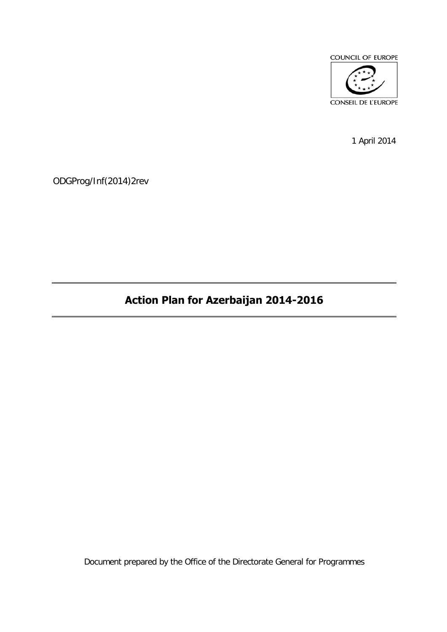

1 April 2014

ODGProg/Inf(2014)2rev

# **Action Plan for Azerbaijan 2014-2016**

Document prepared by the Office of the Directorate General for Programmes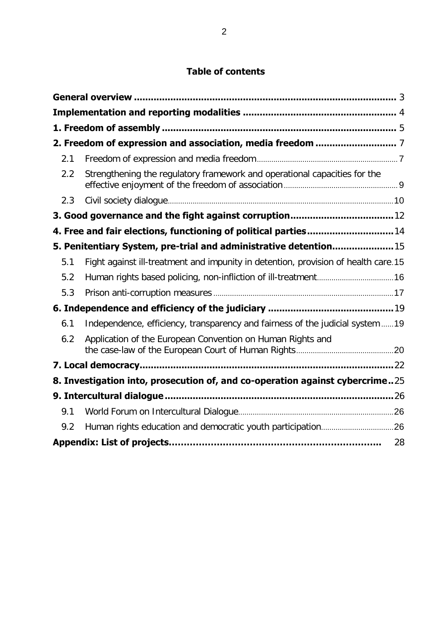## **Table of contents**

| 2.1 |                                                                                    |
|-----|------------------------------------------------------------------------------------|
| 2.2 | Strengthening the regulatory framework and operational capacities for the          |
| 2.3 |                                                                                    |
|     |                                                                                    |
|     | 4. Free and fair elections, functioning of political parties 14                    |
|     | 5. Penitentiary System, pre-trial and administrative detention 15                  |
| 5.1 | Fight against ill-treatment and impunity in detention, provision of health care.15 |
| 5.2 |                                                                                    |
| 5.3 |                                                                                    |
|     |                                                                                    |
| 6.1 | Independence, efficiency, transparency and fairness of the judicial system  19     |
| 6.2 | Application of the European Convention on Human Rights and                         |
|     |                                                                                    |
|     | 8. Investigation into, prosecution of, and co-operation against cybercrime25       |
|     |                                                                                    |
| 9.1 |                                                                                    |
| 9.2 |                                                                                    |
|     | 28                                                                                 |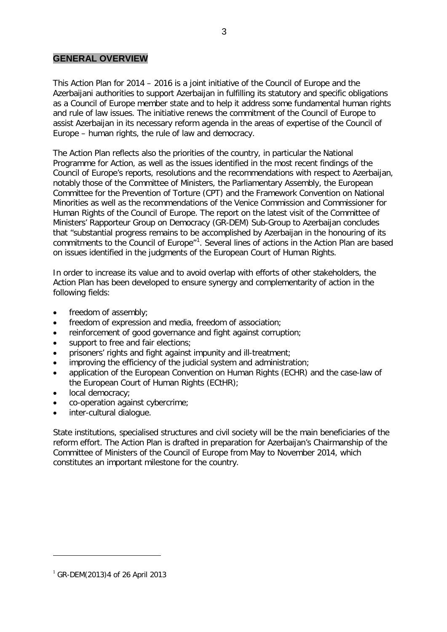#### **GENERAL OVERVIEW**

This Action Plan for 2014 – 2016 is a joint initiative of the Council of Europe and the Azerbaijani authorities to support Azerbaijan in fulfilling its statutory and specific obligations as a Council of Europe member state and to help it address some fundamental human rights and rule of law issues. The initiative renews the commitment of the Council of Europe to assist Azerbaijan in its necessary reform agenda in the areas of expertise of the Council of Europe – human rights, the rule of law and democracy.

The Action Plan reflects also the priorities of the country, in particular the National Programme for Action, as well as the issues identified in the most recent findings of the Council of Europe's reports, resolutions and the recommendations with respect to Azerbaijan, notably those of the Committee of Ministers, the Parliamentary Assembly, the European Committee for the Prevention of Torture (CPT) and the Framework Convention on National Minorities as well as the recommendations of the Venice Commission and Commissioner for Human Rights of the Council of Europe. The report on the latest visit of the Committee of Ministers' Rapporteur Group on Democracy (GR-DEM) Sub-Group to Azerbaijan concludes that "substantial progress remains to be accomplished by Azerbaijan in the honouring of its commitments to the Council of Europe<sup>"[1](#page-2-0)</sup>. Several lines of actions in the Action Plan are based on issues identified in the judgments of the European Court of Human Rights.

In order to increase its value and to avoid overlap with efforts of other stakeholders, the Action Plan has been developed to ensure synergy and complementarity of action in the following fields:

- freedom of assembly;
- freedom of expression and media, freedom of association;
- reinforcement of good governance and fight against corruption;
- support to free and fair elections;
- prisoners' rights and fight against impunity and ill-treatment;
- improving the efficiency of the judicial system and administration;
- application of the European Convention on Human Rights (ECHR) and the case-law of the European Court of Human Rights (ECtHR);
- local democracy;
- co-operation against cybercrime;
- inter-cultural dialogue.

State institutions, specialised structures and civil society will be the main beneficiaries of the reform effort. The Action Plan is drafted in preparation for Azerbaijan's Chairmanship of the Committee of Ministers of the Council of Europe from May to November 2014, which constitutes an important milestone for the country.

 $\overline{a}$ 

<span id="page-2-0"></span> $^{1}$  GR-DEM(2013)4 of 26 April 2013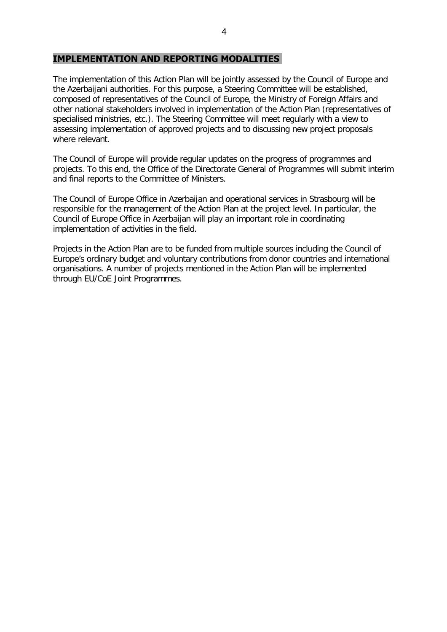#### <span id="page-3-0"></span>**IMPLEMENTATION AND REPORTING MODALITIES**

The implementation of this Action Plan will be jointly assessed by the Council of Europe and the Azerbaijani authorities. For this purpose, a Steering Committee will be established, composed of representatives of the Council of Europe, the Ministry of Foreign Affairs and other national stakeholders involved in implementation of the Action Plan (representatives of specialised ministries, etc.). The Steering Committee will meet regularly with a view to assessing implementation of approved projects and to discussing new project proposals where relevant.

The Council of Europe will provide regular updates on the progress of programmes and projects. To this end, the Office of the Directorate General of Programmes will submit interim and final reports to the Committee of Ministers.

The Council of Europe Office in Azerbaijan and operational services in Strasbourg will be responsible for the management of the Action Plan at the project level. In particular, the Council of Europe Office in Azerbaijan will play an important role in coordinating implementation of activities in the field.

Projects in the Action Plan are to be funded from multiple sources including the Council of Europe's ordinary budget and voluntary contributions from donor countries and international organisations. A number of projects mentioned in the Action Plan will be implemented through EU/CoE Joint Programmes.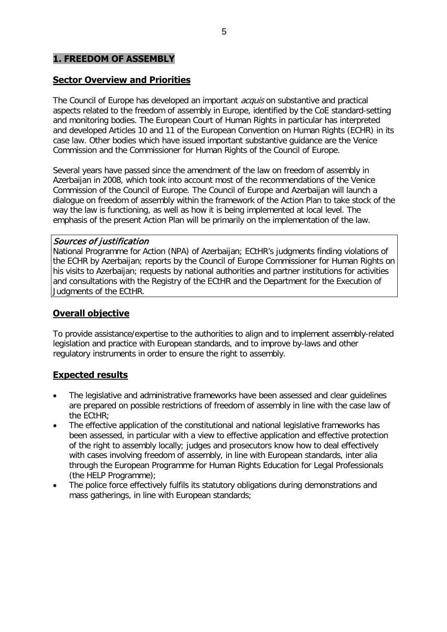#### <span id="page-4-0"></span>**1. FREEDOM OF ASSEMBLY**

#### **Sector Overview and Priorities**

The Council of Europe has developed an important *acquis* on substantive and practical aspects related to the freedom of assembly in Europe, identified by the CoE standard-setting and monitoring bodies. The European Court of Human Rights in particular has interpreted and developed Articles 10 and 11 of the European Convention on Human Rights (ECHR) in its case law. Other bodies which have issued important substantive guidance are the Venice Commission and the Commissioner for Human Rights of the Council of Europe.

Several years have passed since the amendment of the law on freedom of assembly in Azerbaijan in 2008, which took into account most of the recommendations of the Venice Commission of the Council of Europe. The Council of Europe and Azerbaijan will launch a dialogue on freedom of assembly within the framework of the Action Plan to take stock of the way the law is functioning, as well as how it is being implemented at local level. The emphasis of the present Action Plan will be primarily on the implementation of the law.

#### Sources of justification

National Programme for Action (NPA) of Azerbaijan; ECtHR's judgments finding violations of the ECHR by Azerbaijan; reports by the Council of Europe Commissioner for Human Rights on his visits to Azerbaijan; requests by national authorities and partner institutions for activities and consultations with the Registry of the ECtHR and the Department for the Execution of Judgments of the ECtHR.

#### **Overall objective**

To provide assistance/expertise to the authorities to align and to implement assembly-related legislation and practice with European standards, and to improve by-laws and other regulatory instruments in order to ensure the right to assembly.

#### **Expected results**

- The legislative and administrative frameworks have been assessed and clear guidelines are prepared on possible restrictions of freedom of assembly in line with the case law of the ECtHR;
- The effective application of the constitutional and national legislative frameworks has been assessed, in particular with a view to effective application and effective protection of the right to assembly locally; judges and prosecutors know how to deal effectively with cases involving freedom of assembly, in line with European standards, inter alia through the European Programme for Human Rights Education for Legal Professionals (the HELP Programme);
- The police force effectively fulfils its statutory obligations during demonstrations and mass gatherings, in line with European standards;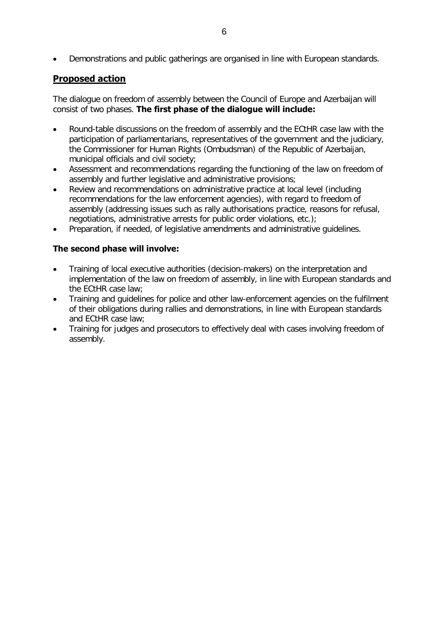• Demonstrations and public gatherings are organised in line with European standards.

#### **Proposed action**

The dialogue on freedom of assembly between the Council of Europe and Azerbaijan will consist of two phases. **The first phase of the dialogue will include:** 

- Round-table discussions on the freedom of assembly and the ECtHR case law with the participation of parliamentarians, representatives of the government and the judiciary, the Commissioner for Human Rights (Ombudsman) of the Republic of Azerbaijan, municipal officials and civil society;
- Assessment and recommendations regarding the functioning of the law on freedom of assembly and further legislative and administrative provisions;
- Review and recommendations on administrative practice at local level (including recommendations for the law enforcement agencies), with regard to freedom of assembly (addressing issues such as rally authorisations practice, reasons for refusal, negotiations, administrative arrests for public order violations, etc.);
- Preparation, if needed, of legislative amendments and administrative guidelines.

#### **The second phase will involve:**

- Training of local executive authorities (decision-makers) on the interpretation and implementation of the law on freedom of assembly, in line with European standards and the ECtHR case law;
- Training and guidelines for police and other law-enforcement agencies on the fulfilment of their obligations during rallies and demonstrations, in line with European standards and ECtHR case law;
- Training for judges and prosecutors to effectively deal with cases involving freedom of assembly.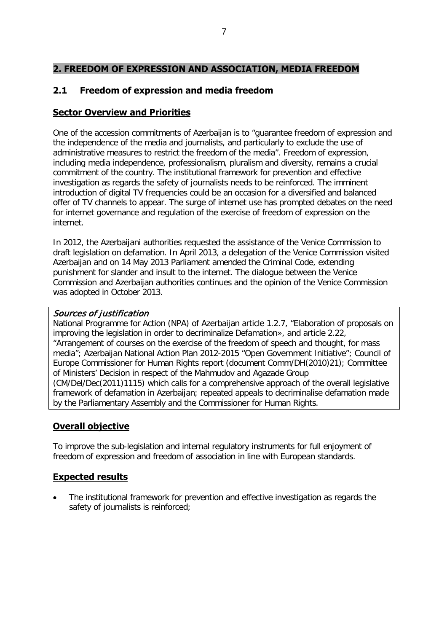### <span id="page-6-0"></span>**2. FREEDOM OF EXPRESSION AND ASSOCIATION, MEDIA FREEDOM**

### <span id="page-6-1"></span>**2.1 Freedom of expression and media freedom**

#### **Sector Overview and Priorities**

One of the accession commitments of Azerbaijan is to "guarantee freedom of expression and the independence of the media and journalists, and particularly to exclude the use of administrative measures to restrict the freedom of the media". Freedom of expression, including media independence, professionalism, pluralism and diversity, remains a crucial commitment of the country. The institutional framework for prevention and effective investigation as regards the safety of journalists needs to be reinforced. The imminent introduction of digital TV frequencies could be an occasion for a diversified and balanced offer of TV channels to appear. The surge of internet use has prompted debates on the need for internet governance and regulation of the exercise of freedom of expression on the internet.

In 2012, the Azerbaijani authorities requested the assistance of the Venice Commission to draft legislation on defamation. In April 2013, a delegation of the Venice Commission visited Azerbaijan and on 14 May 2013 Parliament amended the Criminal Code, extending punishment for slander and insult to the internet. The dialogue between the Venice Commission and Azerbaijan authorities continues and the opinion of the Venice Commission was adopted in October 2013.

#### Sources of justification

National Programme for Action (NPA) of Azerbaijan article 1.2.7, "Elaboration of proposals on improving the legislation in order to decriminalize Defamation», and article 2.22, "Arrangement of courses on the exercise of the freedom of speech and thought, for mass media"; Azerbaijan National Action Plan 2012-2015 "Open Government Initiative"; Council of Europe Commissioner for Human Rights report (document Comm/DH(2010)21); Committee of Ministers' Decision in respect of the Mahmudov and Agazade Group (CM/Del/Dec(2011)1115) which calls for a comprehensive approach of the overall legislative framework of defamation in Azerbaijan; repeated appeals to decriminalise defamation made by the Parliamentary Assembly and the Commissioner for Human Rights.

#### **Overall objective**

To improve the sub-legislation and internal regulatory instruments for full enjoyment of freedom of expression and freedom of association in line with European standards.

#### **Expected results**

• The institutional framework for prevention and effective investigation as regards the safety of journalists is reinforced;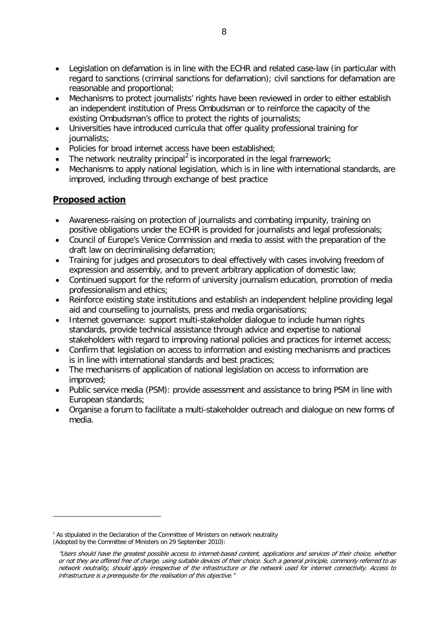- Legislation on defamation is in line with the ECHR and related case-law (in particular with regard to sanctions (criminal sanctions for defamation); civil sanctions for defamation are reasonable and proportional;
- Mechanisms to protect journalists' rights have been reviewed in order to either establish an independent institution of Press Ombudsman or to reinforce the capacity of the existing Ombudsman's office to protect the rights of journalists;
- Universities have introduced curricula that offer quality professional training for journalists;
- Policies for broad internet access have been established;
- The network neutrality principal<sup>[2](#page-7-0)</sup> is incorporated in the legal framework;
- Mechanisms to apply national legislation, which is in line with international standards, are improved, including through exchange of best practice

### **Proposed action**

 $\overline{a}$ 

- Awareness-raising on protection of journalists and combating impunity, training on positive obligations under the ECHR is provided for journalists and legal professionals;
- Council of Europe's Venice Commission and media to assist with the preparation of the draft law on decriminalising defamation;
- Training for judges and prosecutors to deal effectively with cases involving freedom of expression and assembly, and to prevent arbitrary application of domestic law;
- Continued support for the reform of university journalism education, promotion of media professionalism and ethics;
- Reinforce existing state institutions and establish an independent helpline providing legal aid and counselling to journalists, press and media organisations;
- Internet governance: support multi-stakeholder dialogue to include human rights standards, provide technical assistance through advice and expertise to national stakeholders with regard to improving national policies and practices for internet access;
- Confirm that legislation on access to information and existing mechanisms and practices is in line with international standards and best practices;
- The mechanisms of application of national legislation on access to information are improved;
- Public service media (PSM): provide assessment and assistance to bring PSM in line with European standards;
- Organise a forum to facilitate a multi-stakeholder outreach and dialogue on new forms of media.

<span id="page-7-0"></span> $2$  As stipulated in the Declaration of the Committee of Ministers on network neutrality (Adopted by the Committee of Ministers on 29 September 2010):

<sup>&</sup>quot;Users should have the greatest possible access to internet-based content, applications and services of their choice, whether or not they are offered free of charge, using suitable devices of their choice. Such a general principle, commonly referred to as network neutrality, should apply irrespective of the infrastructure or the network used for internet connectivity. Access to infrastructure is a prerequisite for the realisation of this objective."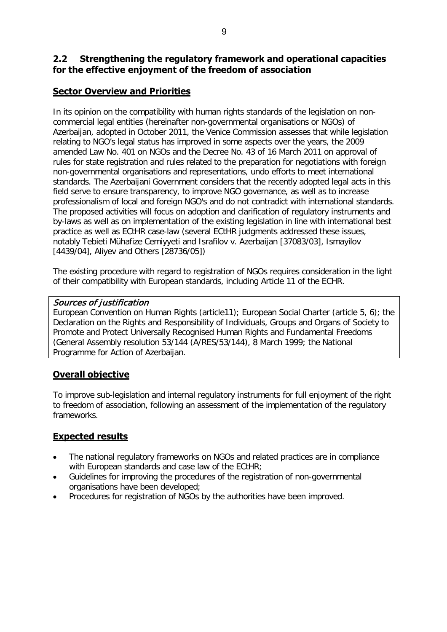### <span id="page-8-0"></span>**2.2 Strengthening the regulatory framework and operational capacities for the effective enjoyment of the freedom of association**

### **Sector Overview and Priorities**

In its opinion on the compatibility with human rights standards of the legislation on noncommercial legal entities (hereinafter non-governmental organisations or NGOs) of Azerbaijan, adopted in October 2011, the Venice Commission assesses that while legislation relating to NGO's legal status has improved in some aspects over the years, the 2009 amended Law No. 401 on NGOs and the Decree No. 43 of 16 March 2011 on approval of rules for state registration and rules related to the preparation for negotiations with foreign non-governmental organisations and representations, undo efforts to meet international standards. The Azerbaijani Government considers that the recently adopted legal acts in this field serve to ensure transparency, to improve NGO governance, as well as to increase professionalism of local and foreign NGO's and do not contradict with international standards. The proposed activities will focus on adoption and clarification of regulatory instruments and by-laws as well as on implementation of the existing legislation in line with international best practice as well as ECtHR case-law (several ECtHR judgments addressed these issues, notably Tebieti Mühafize Cemiyyeti and Israfilov v. Azerbaijan [37083/03], Ismayilov [4439/04], Aliyev and Others [28736/05])

The existing procedure with regard to registration of NGOs requires consideration in the light of their compatibility with European standards, including Article 11 of the ECHR.

#### Sources of justification

European Convention on Human Rights (article11); European Social Charter (article 5, 6); the Declaration on the Rights and Responsibility of Individuals, Groups and Organs of Society to Promote and Protect Universally Recognised Human Rights and Fundamental Freedoms (General Assembly resolution 53/144 (A/RES/53/144), 8 March 1999; the National Programme for Action of Azerbaijan.

### **Overall objective**

To improve sub-legislation and internal regulatory instruments for full enjoyment of the right to freedom of association, following an assessment of the implementation of the regulatory frameworks.

### **Expected results**

- The national regulatory frameworks on NGOs and related practices are in compliance with European standards and case law of the ECtHR;
- Guidelines for improving the procedures of the registration of non-governmental organisations have been developed;
- Procedures for registration of NGOs by the authorities have been improved.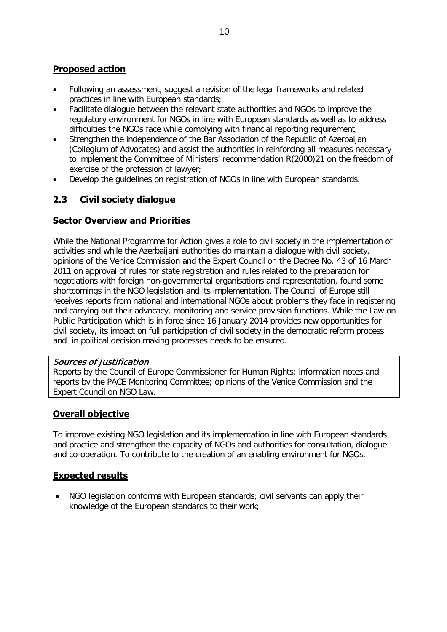### **Proposed action**

- Following an assessment, suggest a revision of the legal frameworks and related practices in line with European standards;
- Facilitate dialogue between the relevant state authorities and NGOs to improve the regulatory environment for NGOs in line with European standards as well as to address difficulties the NGOs face while complying with financial reporting requirement;
- Strengthen the independence of the Bar Association of the Republic of Azerbaijan (Collegium of Advocates) and assist the authorities in reinforcing all measures necessary to implement the Committee of Ministers' recommendation R(2000)21 on the freedom of exercise of the profession of lawyer;
- Develop the guidelines on registration of NGOs in line with European standards.

### <span id="page-9-0"></span>**2.3 Civil society dialogue**

#### **Sector Overview and Priorities**

While the National Programme for Action gives a role to civil society in the implementation of activities and while the Azerbaijani authorities do maintain a dialogue with civil society, opinions of the Venice Commission and the Expert Council on the Decree No. 43 of 16 March 2011 on approval of rules for state registration and rules related to the preparation for negotiations with foreign non-governmental organisations and representation, found some shortcomings in the NGO legislation and its implementation. The Council of Europe still receives reports from national and international NGOs about problems they face in registering and carrying out their advocacy, monitoring and service provision functions. While the Law on Public Participation which is in force since 16 January 2014 provides new opportunities for civil society, its impact on full participation of civil society in the democratic reform process and in political decision making processes needs to be ensured.

#### Sources of justification

Reports by the Council of Europe Commissioner for Human Rights; information notes and reports by the PACE Monitoring Committee; opinions of the Venice Commission and the Expert Council on NGO Law.

#### **Overall objective**

To improve existing NGO legislation and its implementation in line with European standards and practice and strengthen the capacity of NGOs and authorities for consultation, dialogue and co-operation. To contribute to the creation of an enabling environment for NGOs.

#### **Expected results**

• NGO legislation conforms with European standards; civil servants can apply their knowledge of the European standards to their work;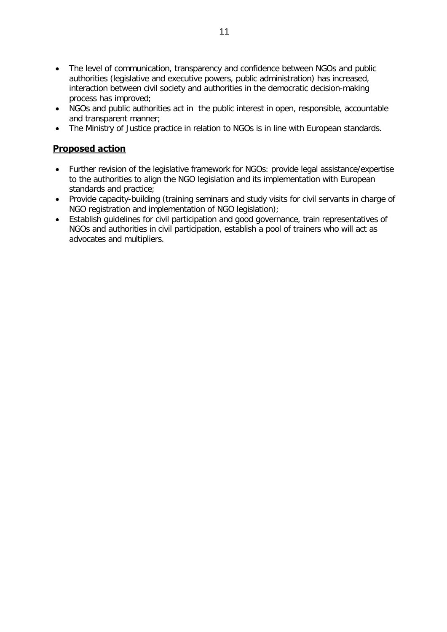- The level of communication, transparency and confidence between NGOs and public authorities (legislative and executive powers, public administration) has increased, interaction between civil society and authorities in the democratic decision-making process has improved;
- NGOs and public authorities act in the public interest in open, responsible, accountable and transparent manner;
- The Ministry of Justice practice in relation to NGOs is in line with European standards.

- Further revision of the legislative framework for NGOs: provide legal assistance/expertise to the authorities to align the NGO legislation and its implementation with European standards and practice;
- Provide capacity-building (training seminars and study visits for civil servants in charge of NGO registration and implementation of NGO legislation);
- Establish guidelines for civil participation and good governance, train representatives of NGOs and authorities in civil participation, establish a pool of trainers who will act as advocates and multipliers.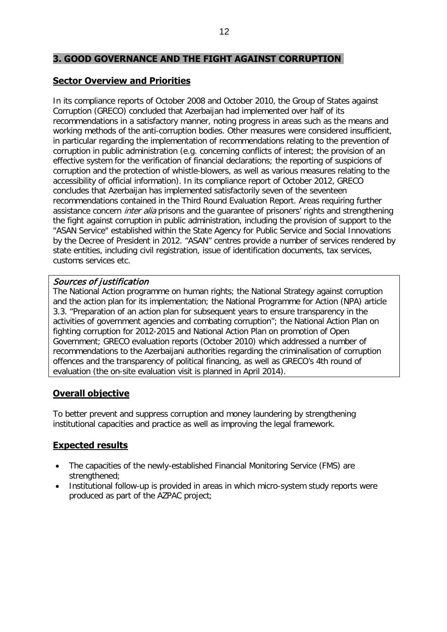#### <span id="page-11-0"></span>**3. GOOD GOVERNANCE AND THE FIGHT AGAINST CORRUPTION**

#### **Sector Overview and Priorities**

In its compliance reports of October 2008 and October 2010, the Group of States against Corruption (GRECO) concluded that Azerbaijan had implemented over half of its recommendations in a satisfactory manner, noting progress in areas such as the means and working methods of the anti-corruption bodies. Other measures were considered insufficient, in particular regarding the implementation of recommendations relating to the prevention of corruption in public administration (e.g. concerning conflicts of interest; the provision of an effective system for the verification of financial declarations; the reporting of suspicions of corruption and the protection of whistle-blowers, as well as various measures relating to the accessibility of official information). In its compliance report of October 2012, GRECO concludes that Azerbaijan has implemented satisfactorily seven of the seventeen recommendations contained in the Third Round Evaluation Report. Areas requiring further assistance concern *inter alia* prisons and the guarantee of prisoners' rights and strengthening the fight against corruption in public administration, including the provision of support to the "ASAN Service" established within the State Agency for Public Service and Social Innovations by the Decree of President in 2012. "ASAN" centres provide a number of services rendered by state entities, including civil registration, issue of identification documents, tax services, customs services etc.

#### Sources of justification

The National Action programme on human rights; the National Strategy against corruption and the action plan for its implementation; the National Programme for Action (NPA) article 3.3. "Preparation of an action plan for subsequent years to ensure transparency in the activities of government agencies and combating corruption"; the National Action Plan on fighting corruption for 2012-2015 and National Action Plan on promotion of Open Government; GRECO evaluation reports (October 2010) which addressed a number of recommendations to the Azerbaijani authorities regarding the criminalisation of corruption offences and the transparency of political financing, as well as GRECO's 4th round of evaluation (the on-site evaluation visit is planned in April 2014).

#### **Overall objective**

To better prevent and suppress corruption and money laundering by strengthening institutional capacities and practice as well as improving the legal framework.

#### **Expected results**

- The capacities of the newly-established Financial Monitoring Service (FMS) are strengthened;
- Institutional follow-up is provided in areas in which micro-system study reports were produced as part of the AZPAC project;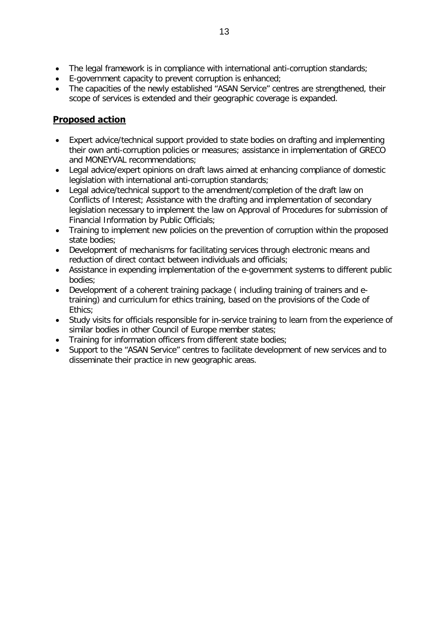- The legal framework is in compliance with international anti-corruption standards;
- E-government capacity to prevent corruption is enhanced;
- The capacities of the newly established "ASAN Service" centres are strengthened, their scope of services is extended and their geographic coverage is expanded.

- Expert advice/technical support provided to state bodies on drafting and implementing their own anti-corruption policies or measures; assistance in implementation of GRECO and MONEYVAL recommendations;
- Legal advice/expert opinions on draft laws aimed at enhancing compliance of domestic legislation with international anti-corruption standards;
- Legal advice/technical support to the amendment/completion of the draft law on Conflicts of Interest; Assistance with the drafting and implementation of secondary legislation necessary to implement the law on Approval of Procedures for submission of Financial Information by Public Officials;
- Training to implement new policies on the prevention of corruption within the proposed state bodies;
- Development of mechanisms for facilitating services through electronic means and reduction of direct contact between individuals and officials;
- Assistance in expending implementation of the e-government systems to different public bodies;
- Development of a coherent training package ( including training of trainers and etraining) and curriculum for ethics training, based on the provisions of the Code of Ethics;
- Study visits for officials responsible for in-service training to learn from the experience of similar bodies in other Council of Europe member states;
- Training for information officers from different state bodies;
- Support to the "ASAN Service" centres to facilitate development of new services and to disseminate their practice in new geographic areas.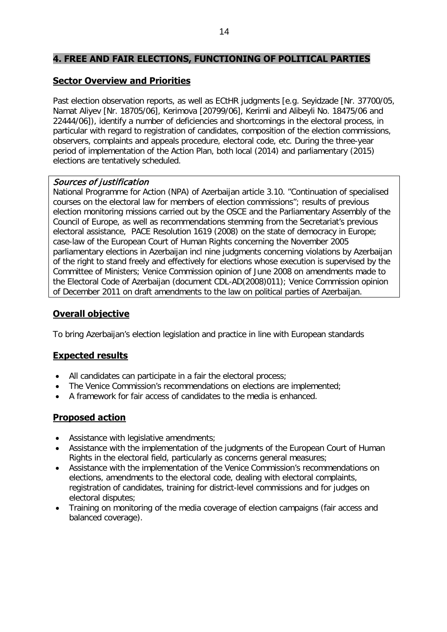### <span id="page-13-0"></span>**4. FREE AND FAIR ELECTIONS, FUNCTIONING OF POLITICAL PARTIES**

### **Sector Overview and Priorities**

Past election observation reports, as well as ECtHR judgments [e.g. Seyidzade [Nr. 37700/05, Namat Aliyev [Nr. 18705/06], Kerimova [20799/06], Kerimli and Alibeyli No. 18475/06 and 22444/06]), identify a number of deficiencies and shortcomings in the electoral process, in particular with regard to registration of candidates, composition of the election commissions, observers, complaints and appeals procedure, electoral code, etc. During the three-year period of implementation of the Action Plan, both local (2014) and parliamentary (2015) elections are tentatively scheduled.

#### Sources of justification

National Programme for Action (NPA) of Azerbaijan article 3.10. "Continuation of specialised courses on the electoral law for members of election commissions"; results of previous election monitoring missions carried out by the OSCE and the Parliamentary Assembly of the Council of Europe, as well as recommendations stemming from the Secretariat's previous electoral assistance, PACE Resolution 1619 (2008) on the state of democracy in Europe; case-law of the European Court of Human Rights concerning the November 2005 parliamentary elections in Azerbaijan incl nine judgments concerning violations by Azerbaijan of the right to stand freely and effectively for elections whose execution is supervised by the Committee of Ministers; Venice Commission opinion of June 2008 on amendments made to the Electoral Code of Azerbaijan (document CDL-AD(2008)011); Venice Commission opinion of December 2011 on draft amendments to the law on political parties of Azerbaijan.

### **Overall objective**

To bring Azerbaijan's election legislation and practice in line with European standards

#### **Expected results**

- All candidates can participate in a fair the electoral process;
- The Venice Commission's recommendations on elections are implemented;
- A framework for fair access of candidates to the media is enhanced.

- Assistance with legislative amendments;
- Assistance with the implementation of the judgments of the European Court of Human Rights in the electoral field, particularly as concerns general measures;
- Assistance with the implementation of the Venice Commission's recommendations on elections, amendments to the electoral code, dealing with electoral complaints, registration of candidates, training for district-level commissions and for judges on electoral disputes;
- Training on monitoring of the media coverage of election campaigns (fair access and balanced coverage).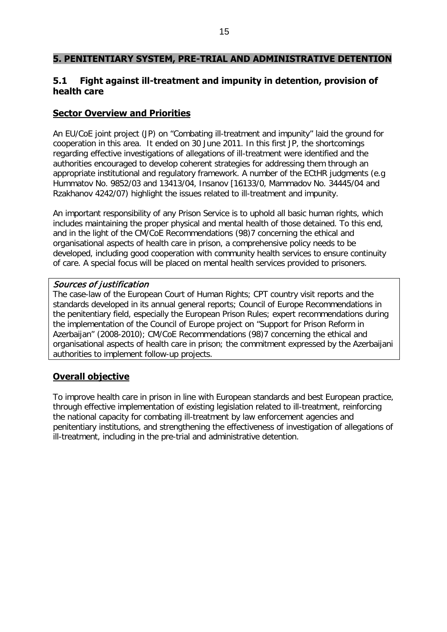#### <span id="page-14-0"></span>**5. PENITENTIARY SYSTEM, PRE-TRIAL AND ADMINISTRATIVE DETENTION**

#### <span id="page-14-1"></span>**5.1 Fight against ill-treatment and impunity in detention, provision of health care**

#### **Sector Overview and Priorities**

An EU/CoE joint project (JP) on "Combating ill-treatment and impunity" laid the ground for cooperation in this area. It ended on 30 June 2011. In this first JP, the shortcomings regarding effective investigations of allegations of ill-treatment were identified and the authorities encouraged to develop coherent strategies for addressing them through an appropriate institutional and regulatory framework. A number of the ECtHR judgments (e.g Hummatov No. 9852/03 and 13413/04, Insanov [16133/0, Mammadov No. 34445/04 and Rzakhanov 4242/07) highlight the issues related to ill-treatment and impunity.

An important responsibility of any Prison Service is to uphold all basic human rights, which includes maintaining the proper physical and mental health of those detained. To this end, and in the light of the CM/CoE Recommendations (98)7 concerning the ethical and organisational aspects of health care in prison, a comprehensive policy needs to be developed, including good cooperation with community health services to ensure continuity of care. A special focus will be placed on mental health services provided to prisoners.

#### Sources of justification

The case-law of the European Court of Human Rights; CPT country visit reports and the standards developed in its annual general reports; Council of Europe Recommendations in the penitentiary field, especially the European Prison Rules; expert recommendations during the implementation of the Council of Europe project on "Support for Prison Reform in Azerbaijan" (2008-2010); CM/CoE Recommendations (98)7 concerning the ethical and organisational aspects of health care in prison; the commitment expressed by the Azerbaijani authorities to implement follow-up projects.

#### **Overall objective**

To improve health care in prison in line with European standards and best European practice, through effective implementation of existing legislation related to ill-treatment, reinforcing the national capacity for combating ill-treatment by law enforcement agencies and penitentiary institutions, and strengthening the effectiveness of investigation of allegations of ill-treatment, including in the pre-trial and administrative detention.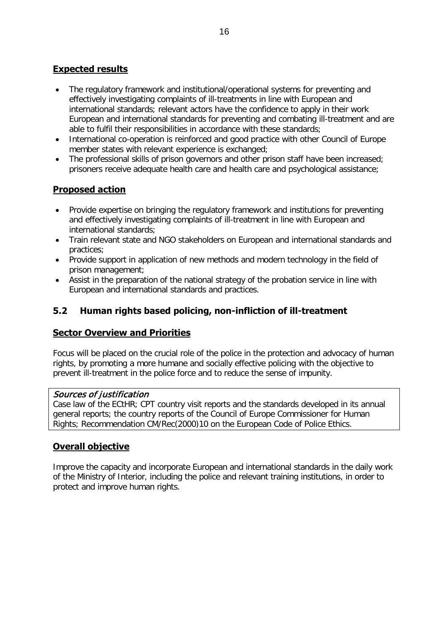- The regulatory framework and institutional/operational systems for preventing and effectively investigating complaints of ill-treatments in line with European and international standards; relevant actors have the confidence to apply in their work European and international standards for preventing and combating ill-treatment and are able to fulfil their responsibilities in accordance with these standards;
- International co-operation is reinforced and good practice with other Council of Europe member states with relevant experience is exchanged;
- The professional skills of prison governors and other prison staff have been increased; prisoners receive adequate health care and health care and psychological assistance;

#### **Proposed action**

- Provide expertise on bringing the regulatory framework and institutions for preventing and effectively investigating complaints of ill-treatment in line with European and international standards;
- Train relevant state and NGO stakeholders on European and international standards and practices;
- Provide support in application of new methods and modern technology in the field of prison management;
- Assist in the preparation of the national strategy of the probation service in line with European and international standards and practices.

### <span id="page-15-0"></span>**5.2 Human rights based policing, non-infliction of ill-treatment**

#### **Sector Overview and Priorities**

Focus will be placed on the crucial role of the police in the protection and advocacy of human rights, by promoting a more humane and socially effective policing with the objective to prevent ill-treatment in the police force and to reduce the sense of impunity.

#### Sources of justification

Case law of the ECtHR; CPT country visit reports and the standards developed in its annual general reports; the country reports of the Council of Europe Commissioner for Human Rights; Recommendation CM/Rec(2000)10 on the European Code of Police Ethics.

#### **Overall objective**

Improve the capacity and incorporate European and international standards in the daily work of the Ministry of Interior, including the police and relevant training institutions, in order to protect and improve human rights.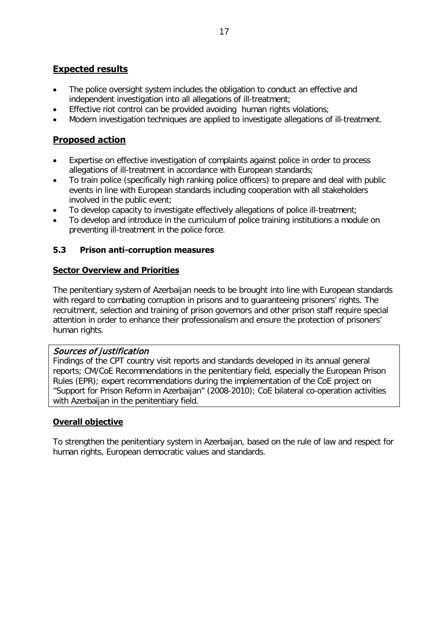- The police oversight system includes the obligation to conduct an effective and independent investigation into all allegations of ill-treatment;
- Effective riot control can be provided avoiding human rights violations;
- Modern investigation techniques are applied to investigate allegations of ill-treatment.

### **Proposed action**

- Expertise on effective investigation of complaints against police in order to process allegations of ill-treatment in accordance with European standards;
- To train police (specifically high ranking police officers) to prepare and deal with public events in line with European standards including cooperation with all stakeholders involved in the public event;
- To develop capacity to investigate effectively allegations of police ill-treatment;
- To develop and introduce in the curriculum of police training institutions a module on preventing ill-treatment in the police force.

#### <span id="page-16-0"></span>**5.3 Prison anti-corruption measures**

#### **Sector Overview and Priorities**

The penitentiary system of Azerbaijan needs to be brought into line with European standards with regard to combating corruption in prisons and to guaranteeing prisoners' rights. The recruitment, selection and training of prison governors and other prison staff require special attention in order to enhance their professionalism and ensure the protection of prisoners' human rights.

#### Sources of justification

Findings of the CPT country visit reports and standards developed in its annual general reports; CM/CoE Recommendations in the penitentiary field, especially the European Prison Rules (EPR); expert recommendations during the implementation of the CoE project on "Support for Prison Reform in Azerbaijan" (2008-2010); CoE bilateral co-operation activities with Azerbaijan in the penitentiary field.

#### **Overall objective**

To strengthen the penitentiary system in Azerbaijan, based on the rule of law and respect for human rights, European democratic values and standards.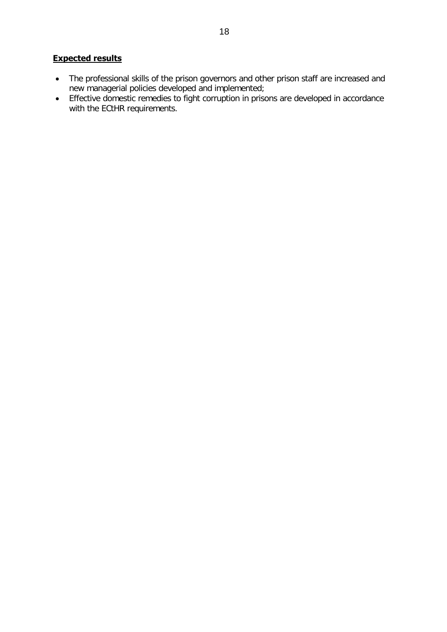- The professional skills of the prison governors and other prison staff are increased and new managerial policies developed and implemented;
- Effective domestic remedies to fight corruption in prisons are developed in accordance with the ECtHR requirements.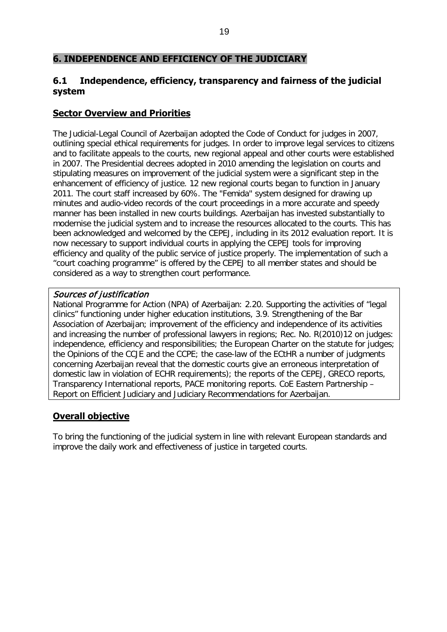#### <span id="page-18-0"></span>**6. INDEPENDENCE AND EFFICIENCY OF THE JUDICIARY**

#### <span id="page-18-1"></span>**6.1 Independence, efficiency, transparency and fairness of the judicial system**

#### **Sector Overview and Priorities**

The Judicial-Legal Council of Azerbaijan adopted the Code of Conduct for judges in 2007, outlining special ethical requirements for judges. In order to improve legal services to citizens and to facilitate appeals to the courts, new regional appeal and other courts were established in 2007. The Presidential decrees adopted in 2010 amending the legislation on courts and stipulating measures on improvement of the judicial system were a significant step in the enhancement of efficiency of justice. 12 new regional courts began to function in January 2011. The court staff increased by 60%. The "Femida" system designed for drawing up minutes and audio-video records of the court proceedings in a more accurate and speedy manner has been installed in new courts buildings. Azerbaijan has invested substantially to modernise the judicial system and to increase the resources allocated to the courts. This has been acknowledged and welcomed by the CEPEJ, including in its 2012 evaluation report. It is now necessary to support individual courts in applying the CEPEJ tools for improving efficiency and quality of the public service of justice properly. The implementation of such a "court coaching programme" is offered by the CEPEJ to all member states and should be considered as a way to strengthen court performance.

#### Sources of justification

National Programme for Action (NPA) of Azerbaijan: 2.20. Supporting the activities of "legal clinics" functioning under higher education institutions, 3.9. Strengthening of the Bar Association of Azerbaijan; improvement of the efficiency and independence of its activities and increasing the number of professional lawyers in regions; Rec. No. R(2010)12 on judges: independence, efficiency and responsibilities; the European Charter on the statute for judges; the Opinions of the CCJE and the CCPE; the case-law of the ECtHR a number of judgments concerning Azerbaijan reveal that the domestic courts give an erroneous interpretation of domestic law in violation of ECHR requirements); the reports of the CEPEJ, GRECO reports, Transparency International reports, PACE monitoring reports. CoE Eastern Partnership – Report on Efficient Judiciary and Judiciary Recommendations for Azerbaijan.

#### **Overall objective**

To bring the functioning of the judicial system in line with relevant European standards and improve the daily work and effectiveness of justice in targeted courts.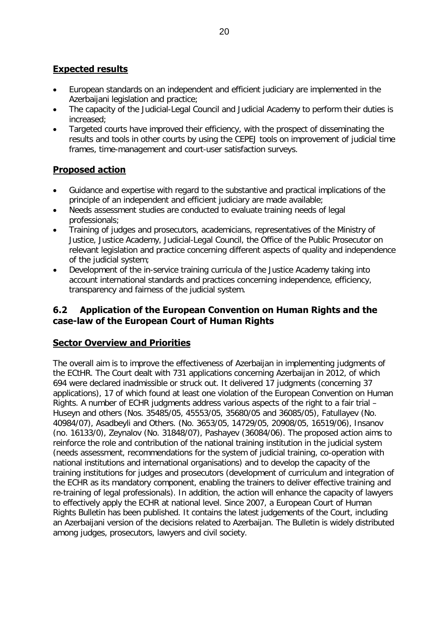- European standards on an independent and efficient judiciary are implemented in the Azerbaijani legislation and practice;
- The capacity of the Judicial-Legal Council and Judicial Academy to perform their duties is increased;
- Targeted courts have improved their efficiency, with the prospect of disseminating the results and tools in other courts by using the CEPEJ tools on improvement of judicial time frames, time-management and court-user satisfaction surveys.

### **Proposed action**

- Guidance and expertise with regard to the substantive and practical implications of the principle of an independent and efficient judiciary are made available;
- Needs assessment studies are conducted to evaluate training needs of legal professionals;
- Training of judges and prosecutors, academicians, representatives of the Ministry of Justice, Justice Academy, Judicial-Legal Council, the Office of the Public Prosecutor on relevant legislation and practice concerning different aspects of quality and independence of the judicial system;
- Development of the in-service training curricula of the Justice Academy taking into account international standards and practices concerning independence, efficiency, transparency and fairness of the judicial system.

#### <span id="page-19-0"></span>**6.2 Application of the European Convention on Human Rights and the case-law of the European Court of Human Rights**

#### **Sector Overview and Priorities**

The overall aim is to improve the effectiveness of Azerbaijan in implementing judgments of the ECtHR. The Court dealt with 731 applications concerning Azerbaijan in 2012, of which 694 were declared inadmissible or struck out. It delivered 17 judgments (concerning 37 applications), 17 of which found at least one violation of the European Convention on Human Rights. A number of ECHR judgments address various aspects of the right to a fair trial – Huseyn and others (Nos. 35485/05, 45553/05, 35680/05 and 36085/05), Fatullayev (No. 40984/07), Asadbeyli and Others. (No. 3653/05, 14729/05, 20908/05, 16519/06), Insanov (no. 16133/0), Zeynalov (No. 31848/07), Pashayev (36084/06). The proposed action aims to reinforce the role and contribution of the national training institution in the judicial system (needs assessment, recommendations for the system of judicial training, co-operation with national institutions and international organisations) and to develop the capacity of the training institutions for judges and prosecutors (development of curriculum and integration of the ECHR as its mandatory component, enabling the trainers to deliver effective training and re-training of legal professionals). In addition, the action will enhance the capacity of lawyers to effectively apply the ECHR at national level. Since 2007, a European Court of Human Rights Bulletin has been published. It contains the latest judgements of the Court, including an Azerbaijani version of the decisions related to Azerbaijan. The Bulletin is widely distributed among judges, prosecutors, lawyers and civil society.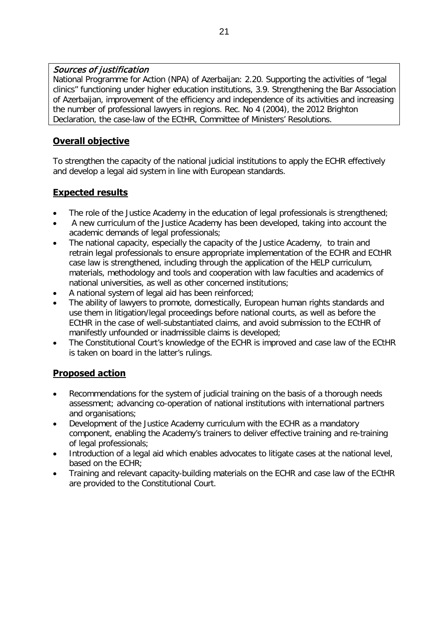#### Sources of justification

National Programme for Action (NPA) of Azerbaijan: 2.20. Supporting the activities of "legal clinics" functioning under higher education institutions, 3.9. Strengthening the Bar Association of Azerbaijan, improvement of the efficiency and independence of its activities and increasing the number of professional lawyers in regions. Rec. No 4 (2004), the 2012 Brighton Declaration, the case-law of the ECtHR, Committee of Ministers' Resolutions.

### **Overall objective**

To strengthen the capacity of the national judicial institutions to apply the ECHR effectively and develop a legal aid system in line with European standards.

### **Expected results**

- The role of the Justice Academy in the education of legal professionals is strengthened;
- A new curriculum of the Justice Academy has been developed, taking into account the academic demands of legal professionals;
- The national capacity, especially the capacity of the Justice Academy, to train and retrain legal professionals to ensure appropriate implementation of the ECHR and ECtHR case law is strengthened, including through the application of the HELP curriculum, materials, methodology and tools and cooperation with law faculties and academics of national universities, as well as other concerned institutions;
- A national system of legal aid has been reinforced;
- The ability of lawyers to promote, domestically, European human rights standards and use them in litigation/legal proceedings before national courts, as well as before the ECtHR in the case of well-substantiated claims, and avoid submission to the ECtHR of manifestly unfounded or inadmissible claims is developed;
- The Constitutional Court's knowledge of the ECHR is improved and case law of the ECtHR is taken on board in the latter's rulings.

- Recommendations for the system of judicial training on the basis of a thorough needs assessment; advancing co-operation of national institutions with international partners and organisations;
- Development of the Justice Academy curriculum with the ECHR as a mandatory component, enabling the Academy's trainers to deliver effective training and re-training of legal professionals;
- Introduction of a legal aid which enables advocates to litigate cases at the national level, based on the ECHR;
- Training and relevant capacity-building materials on the ECHR and case law of the ECtHR are provided to the Constitutional Court.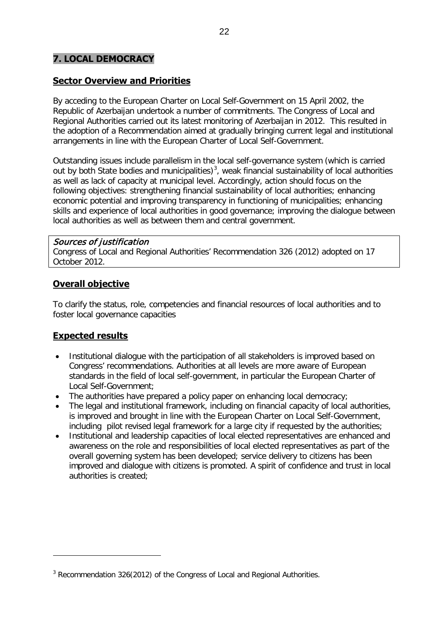### <span id="page-21-0"></span>**7. LOCAL DEMOCRACY**

#### **Sector Overview and Priorities**

By acceding to the European Charter on Local Self-Government on 15 April 2002, the Republic of Azerbaijan undertook a number of commitments. The Congress of Local and Regional Authorities carried out its latest monitoring of Azerbaijan in 2012. This resulted in the adoption of a Recommendation aimed at gradually bringing current legal and institutional arrangements in line with the European Charter of Local Self-Government.

Outstanding issues include parallelism in the local self-governance system (which is carried out by both State bodies and municipalities)<sup>[3](#page-21-1)</sup>, weak financial sustainability of local authorities as well as lack of capacity at municipal level. Accordingly, action should focus on the following objectives: strengthening financial sustainability of local authorities; enhancing economic potential and improving transparency in functioning of municipalities; enhancing skills and experience of local authorities in good governance; improving the dialogue between local authorities as well as between them and central government.

#### Sources of justification

Congress of Local and Regional Authorities' Recommendation 326 (2012) adopted on 17 October 2012.

#### **Overall objective**

To clarify the status, role, competencies and financial resources of local authorities and to foster local governance capacities

#### **Expected results**

 $\overline{a}$ 

- Institutional dialogue with the participation of all stakeholders is improved based on Congress' recommendations. Authorities at all levels are more aware of European standards in the field of local self-government, in particular the European Charter of Local Self-Government;
- The authorities have prepared a policy paper on enhancing local democracy;
- The legal and institutional framework, including on financial capacity of local authorities, is improved and brought in line with the European Charter on Local Self-Government, including pilot revised legal framework for a large city if requested by the authorities;
- Institutional and leadership capacities of local elected representatives are enhanced and awareness on the role and responsibilities of local elected representatives as part of the overall governing system has been developed; service delivery to citizens has been improved and dialogue with citizens is promoted. A spirit of confidence and trust in local authorities is created;

<span id="page-21-1"></span><sup>&</sup>lt;sup>3</sup> Recommendation 326(2012) of the Congress of Local and Regional Authorities.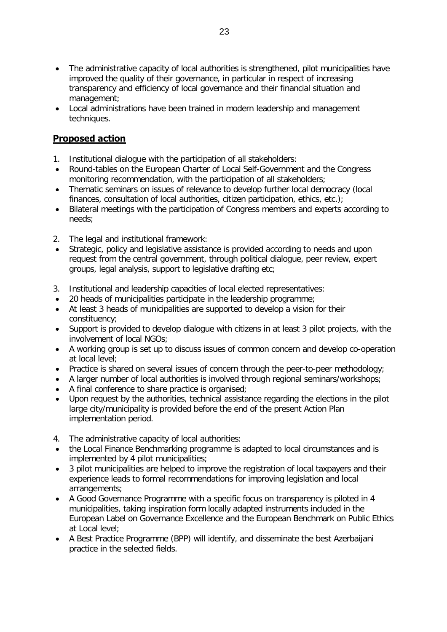- The administrative capacity of local authorities is strengthened, pilot municipalities have improved the quality of their governance, in particular in respect of increasing transparency and efficiency of local governance and their financial situation and management;
- Local administrations have been trained in modern leadership and management techniques.

- 1. Institutional dialogue with the participation of all stakeholders:
- Round-tables on the European Charter of Local Self-Government and the Congress monitoring recommendation, with the participation of all stakeholders;
- Thematic seminars on issues of relevance to develop further local democracy (local finances, consultation of local authorities, citizen participation, ethics, etc.);
- Bilateral meetings with the participation of Congress members and experts according to needs;
- 2. The legal and institutional framework:
- Strategic, policy and legislative assistance is provided according to needs and upon request from the central government, through political dialogue, peer review, expert groups, legal analysis, support to legislative drafting etc;
- 3. Institutional and leadership capacities of local elected representatives:
- 20 heads of municipalities participate in the leadership programme;
- At least 3 heads of municipalities are supported to develop a vision for their constituency;
- Support is provided to develop dialogue with citizens in at least 3 pilot projects, with the involvement of local NGOs;
- A working group is set up to discuss issues of common concern and develop co-operation at local level;
- Practice is shared on several issues of concern through the peer-to-peer methodology;
- A larger number of local authorities is involved through regional seminars/workshops:
- A final conference to share practice is organised;
- Upon request by the authorities, technical assistance regarding the elections in the pilot large city/municipality is provided before the end of the present Action Plan implementation period.
- 4. The administrative capacity of local authorities:
- the Local Finance Benchmarking programme is adapted to local circumstances and is implemented by 4 pilot municipalities;
- 3 pilot municipalities are helped to improve the registration of local taxpayers and their experience leads to formal recommendations for improving legislation and local arrangements;
- A Good Governance Programme with a specific focus on transparency is piloted in 4 municipalities, taking inspiration form locally adapted instruments included in the European Label on Governance Excellence and the European Benchmark on Public Ethics at Local level;
- A Best Practice Programme (BPP) will identify, and disseminate the best Azerbaijani practice in the selected fields.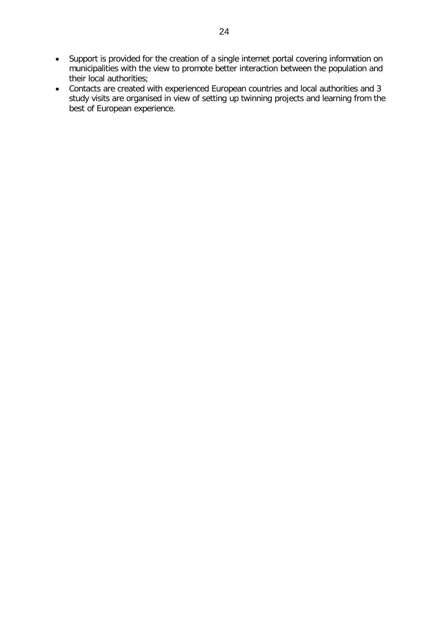- Support is provided for the creation of a single internet portal covering information on municipalities with the view to promote better interaction between the population and their local authorities;
- Contacts are created with experienced European countries and local authorities and 3 study visits are organised in view of setting up twinning projects and learning from the best of European experience.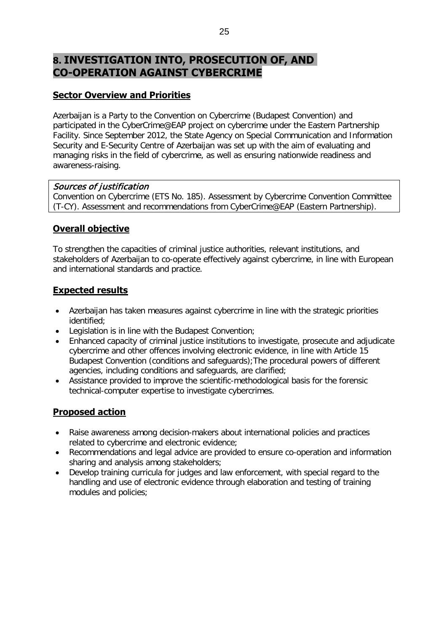# <span id="page-24-0"></span>**8. INVESTIGATION INTO, PROSECUTION OF, AND CO-OPERATION AGAINST CYBERCRIME**

### **Sector Overview and Priorities**

Azerbaijan is a Party to the Convention on Cybercrime (Budapest Convention) and participated in the CyberCrime@EAP project on cybercrime under the Eastern Partnership Facility. Since September 2012, the State Agency on Special Communication and Information Security and E-Security Centre of Azerbaijan was set up with the aim of evaluating and managing risks in the field of cybercrime, as well as ensuring nationwide readiness and awareness-raising.

#### Sources of justification

Convention on Cybercrime (ETS No. 185). Assessment by Cybercrime Convention Committee (T-CY). Assessment and recommendations from CyberCrime@EAP (Eastern Partnership).

### **Overall objective**

To strengthen the capacities of criminal justice authorities, relevant institutions, and stakeholders of Azerbaijan to co-operate effectively against cybercrime, in line with European and international standards and practice.

#### **Expected results**

- Azerbaijan has taken measures against cybercrime in line with the strategic priorities identified;
- Legislation is in line with the Budapest Convention;
- Enhanced capacity of criminal justice institutions to investigate, prosecute and adjudicate cybercrime and other offences involving electronic evidence, in line with Article 15 Budapest Convention (conditions and safeguards);The procedural powers of different agencies, including conditions and safeguards, are clarified;
- Assistance provided to improve the scientific-methodological basis for the forensic technical-computer expertise to investigate cybercrimes.

- Raise awareness among decision-makers about international policies and practices related to cybercrime and electronic evidence;
- Recommendations and legal advice are provided to ensure co-operation and information sharing and analysis among stakeholders;
- Develop training curricula for judges and law enforcement, with special regard to the handling and use of electronic evidence through elaboration and testing of training modules and policies;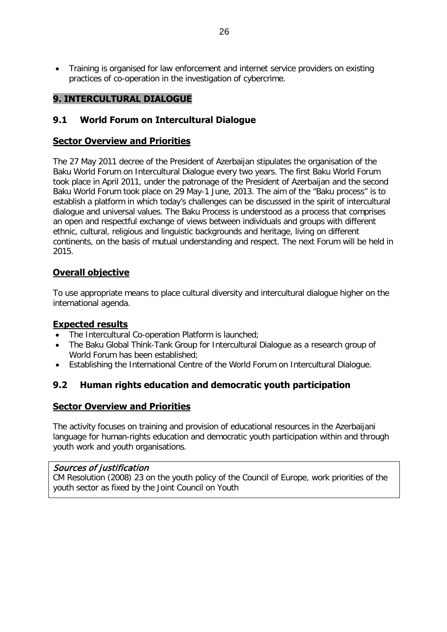• Training is organised for law enforcement and internet service providers on existing practices of co-operation in the investigation of cybercrime.

#### <span id="page-25-0"></span>**9. INTERCULTURAL DIALOGUE**

### <span id="page-25-1"></span>**9.1 World Forum on Intercultural Dialogue**

#### **Sector Overview and Priorities**

The 27 May 2011 decree of the President of Azerbaijan stipulates the organisation of the Baku World Forum on Intercultural Dialogue every two years. The first Baku World Forum took place in April 2011, under the patronage of the President of Azerbaijan and the second Baku World Forum took place on 29 May-1 June, 2013. The aim of the "Baku process" is to establish a platform in which today's challenges can be discussed in the spirit of intercultural dialogue and universal values. The Baku Process is understood as a process that comprises an open and respectful exchange of views between individuals and groups with different ethnic, cultural, religious and linguistic backgrounds and heritage, living on different continents, on the basis of mutual understanding and respect. The next Forum will be held in 2015.

### **Overall objective**

To use appropriate means to place cultural diversity and intercultural dialogue higher on the international agenda.

#### **Expected results**

- The Intercultural Co-operation Platform is launched;
- The Baku Global Think-Tank Group for Intercultural Dialogue as a research group of World Forum has been established;
- Establishing the International Centre of the World Forum on Intercultural Dialogue.

#### <span id="page-25-2"></span>**9.2 Human rights education and democratic youth participation**

#### **Sector Overview and Priorities**

The activity focuses on training and provision of educational resources in the Azerbaijani language for human-rights education and democratic youth participation within and through youth work and youth organisations.

#### Sources of justification

CM Resolution (2008) 23 on the youth policy of the Council of Europe, work priorities of the youth sector as fixed by the Joint Council on Youth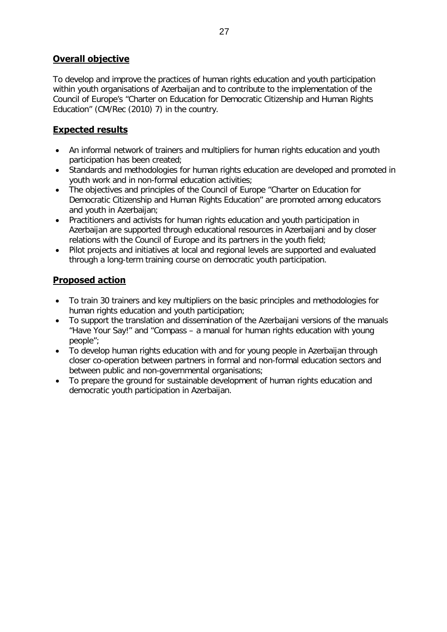### **Overall objective**

To develop and improve the practices of human rights education and youth participation within youth organisations of Azerbaijan and to contribute to the implementation of the Council of Europe's "Charter on Education for Democratic Citizenship and Human Rights Education" (CM/Rec (2010) 7) in the country.

### **Expected results**

- An informal network of trainers and multipliers for human rights education and youth participation has been created;
- Standards and methodologies for human rights education are developed and promoted in youth work and in non-formal education activities;
- The objectives and principles of the Council of Europe "Charter on Education for Democratic Citizenship and Human Rights Education" are promoted among educators and youth in Azerbaijan;
- Practitioners and activists for human rights education and youth participation in Azerbaijan are supported through educational resources in Azerbaijani and by closer relations with the Council of Europe and its partners in the youth field;
- Pilot projects and initiatives at local and regional levels are supported and evaluated through a long-term training course on democratic youth participation.

- To train 30 trainers and key multipliers on the basic principles and methodologies for human rights education and youth participation;
- To support the translation and dissemination of the Azerbaijani versions of the manuals "Have Your Say!" and "Compass – a manual for human rights education with young people";
- To develop human rights education with and for young people in Azerbaijan through closer co-operation between partners in formal and non-formal education sectors and between public and non-governmental organisations;
- To prepare the ground for sustainable development of human rights education and democratic youth participation in Azerbaijan.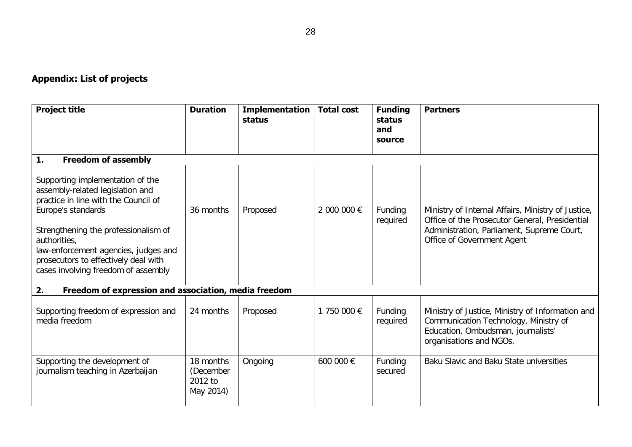# **Appendix: List of projects**

| <b>Project title</b>                                                                                                                                                                                                                                                                                              | <b>Duration</b>                                | Implementation<br>status | <b>Total cost</b> | <b>Funding</b><br>status<br>and<br>source | <b>Partners</b>                                                                                                                                                                  |  |
|-------------------------------------------------------------------------------------------------------------------------------------------------------------------------------------------------------------------------------------------------------------------------------------------------------------------|------------------------------------------------|--------------------------|-------------------|-------------------------------------------|----------------------------------------------------------------------------------------------------------------------------------------------------------------------------------|--|
| 1.<br><b>Freedom of assembly</b>                                                                                                                                                                                                                                                                                  |                                                |                          |                   |                                           |                                                                                                                                                                                  |  |
| Supporting implementation of the<br>assembly-related legislation and<br>practice in line with the Council of<br>Europe's standards<br>Strengthening the professionalism of<br>authorities,<br>law-enforcement agencies, judges and<br>prosecutors to effectively deal with<br>cases involving freedom of assembly | 36 months                                      | Proposed                 | 2 000 000 €       | Funding<br>required                       | Ministry of Internal Affairs, Ministry of Justice,<br>Office of the Prosecutor General, Presidential<br>Administration, Parliament, Supreme Court,<br>Office of Government Agent |  |
| Freedom of expression and association, media freedom<br>2.                                                                                                                                                                                                                                                        |                                                |                          |                   |                                           |                                                                                                                                                                                  |  |
| Supporting freedom of expression and<br>media freedom                                                                                                                                                                                                                                                             | 24 months                                      | Proposed                 | 1 750 000 €       | Funding<br>required                       | Ministry of Justice, Ministry of Information and<br>Communication Technology, Ministry of<br>Education, Ombudsman, journalists'<br>organisations and NGOs.                       |  |
| Supporting the development of<br>journalism teaching in Azerbaijan                                                                                                                                                                                                                                                | 18 months<br>(December<br>2012 to<br>May 2014) | Ongoing                  | 600 000 €         | Funding<br>secured                        | Baku Slavic and Baku State universities                                                                                                                                          |  |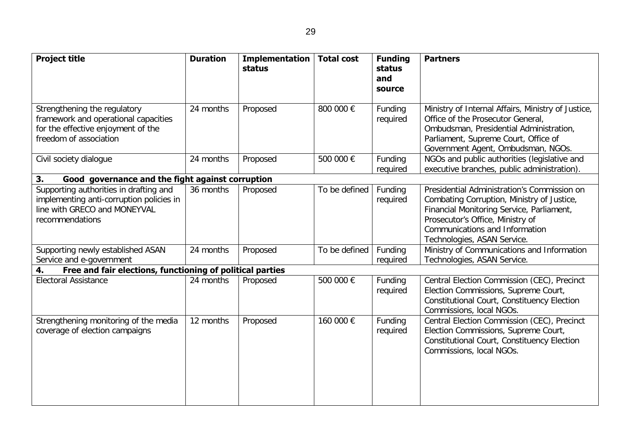| <b>Project title</b>                                                                                                                  | <b>Duration</b> | <b>Implementation</b><br>status | <b>Total cost</b> | <b>Funding</b><br>status<br>and<br>source | <b>Partners</b>                                                                                                                                                                                                                             |
|---------------------------------------------------------------------------------------------------------------------------------------|-----------------|---------------------------------|-------------------|-------------------------------------------|---------------------------------------------------------------------------------------------------------------------------------------------------------------------------------------------------------------------------------------------|
| Strengthening the regulatory<br>framework and operational capacities<br>for the effective enjoyment of the<br>freedom of association  | 24 months       | Proposed                        | 800 000 €         | Funding<br>required                       | Ministry of Internal Affairs, Ministry of Justice,<br>Office of the Prosecutor General,<br>Ombudsman, Presidential Administration,<br>Parliament, Supreme Court, Office of<br>Government Agent, Ombudsman, NGOs.                            |
| Civil society dialogue                                                                                                                | 24 months       | Proposed                        | 500 000 €         | Funding<br>required                       | NGOs and public authorities (legislative and<br>executive branches, public administration).                                                                                                                                                 |
| Good governance and the fight against corruption<br>3.                                                                                |                 |                                 |                   |                                           |                                                                                                                                                                                                                                             |
| Supporting authorities in drafting and<br>implementing anti-corruption policies in<br>line with GRECO and MONEYVAL<br>recommendations | 36 months       | Proposed                        | To be defined     | Funding<br>required                       | Presidential Administration's Commission on<br>Combating Corruption, Ministry of Justice,<br>Financial Monitoring Service, Parliament,<br>Prosecutor's Office, Ministry of<br>Communications and Information<br>Technologies, ASAN Service. |
| Supporting newly established ASAN<br>Service and e-government                                                                         | 24 months       | Proposed                        | To be defined     | Funding<br>required                       | Ministry of Communications and Information<br>Technologies, ASAN Service.                                                                                                                                                                   |
| Free and fair elections, functioning of political parties<br>4.                                                                       |                 |                                 |                   |                                           |                                                                                                                                                                                                                                             |
| <b>Electoral Assistance</b>                                                                                                           | 24 months       | Proposed                        | 500 000 €         | Funding<br>required                       | Central Election Commission (CEC), Precinct<br>Election Commissions, Supreme Court,<br>Constitutional Court, Constituency Election<br>Commissions, local NGOs.                                                                              |
| Strengthening monitoring of the media<br>coverage of election campaigns                                                               | 12 months       | Proposed                        | 160 000 €         | Funding<br>required                       | Central Election Commission (CEC), Precinct<br>Election Commissions, Supreme Court,<br>Constitutional Court, Constituency Election<br>Commissions, local NGOs.                                                                              |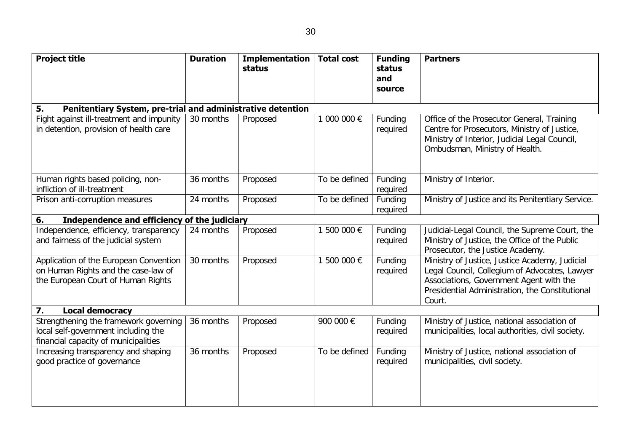| ٠                      | v            |
|------------------------|--------------|
| I<br>۰.<br>×<br>×<br>v | I<br>×<br>۰, |

| <b>Project title</b>                                                                                                 | <b>Duration</b> | <b>Implementation</b><br>status | <b>Total cost</b> | <b>Funding</b><br>status<br>and<br>source | <b>Partners</b>                                                                                                                                                                                         |  |
|----------------------------------------------------------------------------------------------------------------------|-----------------|---------------------------------|-------------------|-------------------------------------------|---------------------------------------------------------------------------------------------------------------------------------------------------------------------------------------------------------|--|
| Penitentiary System, pre-trial and administrative detention<br>5.                                                    |                 |                                 |                   |                                           |                                                                                                                                                                                                         |  |
| Fight against ill-treatment and impunity<br>in detention, provision of health care                                   | 30 months       | Proposed                        | 1 000 000 €       | Funding<br>required                       | Office of the Prosecutor General, Training<br>Centre for Prosecutors, Ministry of Justice,<br>Ministry of Interior, Judicial Legal Council,<br>Ombudsman, Ministry of Health.                           |  |
| Human rights based policing, non-<br>infliction of ill-treatment                                                     | 36 months       | Proposed                        | To be defined     | Funding<br>required                       | Ministry of Interior.                                                                                                                                                                                   |  |
| Prison anti-corruption measures                                                                                      | 24 months       | Proposed                        | To be defined     | Funding<br>required                       | Ministry of Justice and its Penitentiary Service.                                                                                                                                                       |  |
| Independence and efficiency of the judiciary<br>6.                                                                   |                 |                                 |                   |                                           |                                                                                                                                                                                                         |  |
| Independence, efficiency, transparency<br>and fairness of the judicial system                                        | 24 months       | Proposed                        | 1 500 000 €       | Funding<br>required                       | Judicial-Legal Council, the Supreme Court, the<br>Ministry of Justice, the Office of the Public<br>Prosecutor, the Justice Academy.                                                                     |  |
| Application of the European Convention<br>on Human Rights and the case-law of<br>the European Court of Human Rights  | 30 months       | Proposed                        | 1 500 000 €       | Funding<br>required                       | Ministry of Justice, Justice Academy, Judicial<br>Legal Council, Collegium of Advocates, Lawyer<br>Associations, Government Agent with the<br>Presidential Administration, the Constitutional<br>Court. |  |
| 7.<br><b>Local democracy</b>                                                                                         |                 |                                 |                   |                                           |                                                                                                                                                                                                         |  |
| Strengthening the framework governing<br>local self-government including the<br>financial capacity of municipalities | 36 months       | Proposed                        | 900 000 €         | Funding<br>required                       | Ministry of Justice, national association of<br>municipalities, local authorities, civil society.                                                                                                       |  |
| Increasing transparency and shaping<br>good practice of governance                                                   | 36 months       | Proposed                        | To be defined     | Funding<br>required                       | Ministry of Justice, national association of<br>municipalities, civil society.                                                                                                                          |  |